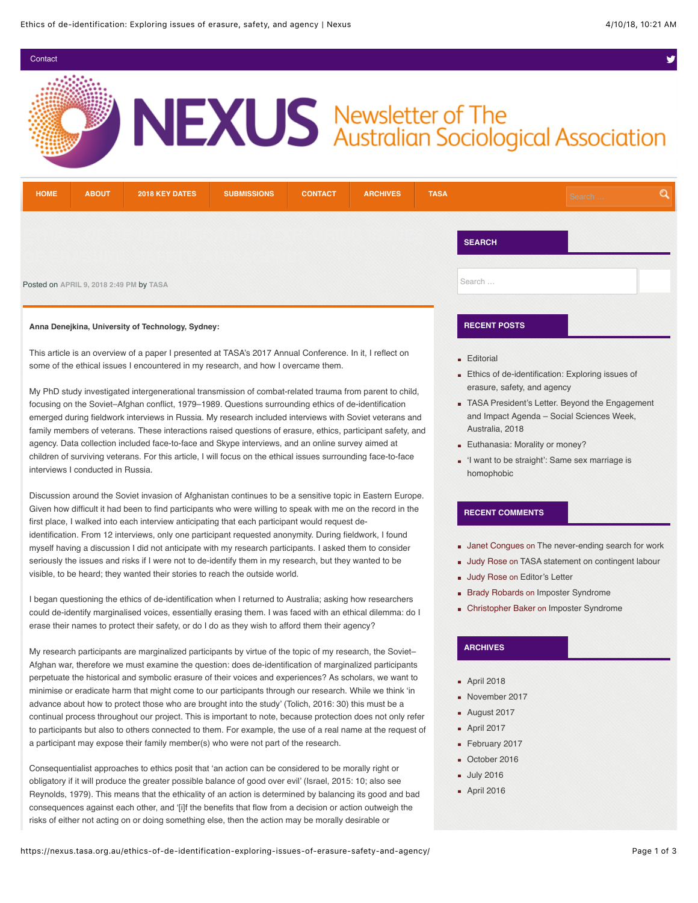$\blacksquare$ [Contact](https://nexus.tasa.org.au/contact/)  $\blacksquare$ 

# NEXUS Newsletter of The<br>Australian Sociological Association

| <b>HOME</b>                                                                                                                                                                                   | <b>ABOUT</b> | <b>2018 KEY DATES</b> | <b>SUBMISSIONS</b> | <b>CONTACT</b> | <b>ARCHIVES</b> | <b>TASA</b> |                                                                                                           | Search | Q |  |
|-----------------------------------------------------------------------------------------------------------------------------------------------------------------------------------------------|--------------|-----------------------|--------------------|----------------|-----------------|-------------|-----------------------------------------------------------------------------------------------------------|--------|---|--|
|                                                                                                                                                                                               |              |                       |                    |                |                 |             | <b>SEARCH</b>                                                                                             |        |   |  |
| Posted on APRIL 9, 2018 2:49 PM by TASA                                                                                                                                                       |              |                       |                    |                |                 |             | Search                                                                                                    |        |   |  |
| Anna Denejkina, University of Technology, Sydney:                                                                                                                                             |              |                       |                    |                |                 |             | <b>RECENT POSTS</b>                                                                                       |        |   |  |
| This article is an overview of a paper I presented at TASA's 2017 Annual Conference. In it, I reflect on<br>some of the ethical issues I encountered in my research, and how I overcame them. |              |                       |                    |                |                 |             | <b>Editorial</b><br>Ethics of de-identification: Exploring issues of<br>concerned contrator and concerned |        |   |  |

My PhD study investigated intergenerational transmission of combat-related trauma from parent to child, focusing on the Soviet–Afghan conflict, 1979–1989. Questions surrounding ethics of de-identification emerged during fieldwork interviews in Russia. My research included interviews with Soviet veterans and family members of veterans. These interactions raised questions of erasure, ethics, participant safety, and agency. Data collection included face-to-face and Skype interviews, and an online survey aimed at children of surviving veterans. For this article, I will focus on the ethical issues surrounding face-to-face interviews I conducted in Russia.

Discussion around the Soviet invasion of Afghanistan continues to be a sensitive topic in Eastern Europe. Given how difficult it had been to find participants who were willing to speak with me on the record in the first place, I walked into each interview anticipating that each participant would request deidentification. From 12 interviews, only one participant requested anonymity. During fieldwork, I found myself having a discussion I did not anticipate with my research participants. I asked them to consider seriously the issues and risks if I were not to de-identify them in my research, but they wanted to be visible, to be heard; they wanted their stories to reach the outside world.

I began questioning the ethics of de-identification when I returned to Australia; asking how researchers could de-identify marginalised voices, essentially erasing them. I was faced with an ethical dilemma: do I erase their names to protect their safety, or do I do as they wish to afford them their agency?

My research participants are marginalized participants by virtue of the topic of my research, the Soviet– Afghan war, therefore we must examine the question: does de-identification of marginalized participants perpetuate the historical and symbolic erasure of their voices and experiences? As scholars, we want to minimise or eradicate harm that might come to our participants through our research. While we think 'in advance about how to protect those who are brought into the study' (Tolich, 2016: 30) this must be a continual process throughout our project. This is important to note, because protection does not only refer to participants but also to others connected to them. For example, the use of a real name at the request of a participant may expose their family member(s) who were not part of the research.

Consequentialist approaches to ethics posit that 'an action can be considered to be morally right or obligatory if it will produce the greater possible balance of good over evil' (Israel, 2015: 10; also see Reynolds, 1979). This means that the ethicality of an action is determined by balancing its good and bad consequences against each other, and '[i]f the benefits that flow from a decision or action outweigh the risks of either not acting on or doing something else, then the action may be morally desirable or

- erasure, safety, and agency
- **[TASA President's Letter. Beyond the Engagement](https://nexus.tasa.org.au/tasa-presidents-letter-beyond-the-engagement-and-impact-agenda-social-sciences-week-australia-2018/)** and Impact Agenda – Social Sciences Week, Australia, 2018
- **[Euthanasia: Morality or money?](https://nexus.tasa.org.au/euthanasia-morality-or-money/)**
- ['I want to be straight': Same sex marriage is](https://nexus.tasa.org.au/i-want-to-be-straight-same-sex-marriage-is-homophobic/) homophobic

#### **RECENT COMMENTS**

- **Janet Congues on [The never-ending search for work](https://nexus.tasa.org.au/the-never-ending-search-for-work/#comment-487)**
- **Judy Rose on [TASA statement on contingent labour](https://nexus.tasa.org.au/tasa-statement-on-contingent-labour/#comment-265)**
- **Judy Rose on [Editor's Letter](https://nexus.tasa.org.au/editors-letter-3/#comment-263)**
- **Brady Robards on [Imposter Syndrome](https://nexus.tasa.org.au/imposter-syndrome/#comment-2)**
- Christopher Baker on [Imposter Syndrome](https://nexus.tasa.org.au/imposter-syndrome/#comment-1)

### **ARCHIVES**

- **[April 2018](https://nexus.tasa.org.au/2018/04/)**
- [November 2017](https://nexus.tasa.org.au/2017/11/)
- [August 2017](https://nexus.tasa.org.au/2017/08/)
- **[April 2017](https://nexus.tasa.org.au/2017/04/)**
- [February 2017](https://nexus.tasa.org.au/2017/02/)
- [October 2016](https://nexus.tasa.org.au/2016/10/)
- **[July 2016](https://nexus.tasa.org.au/2016/07/)**
- **[April 2016](https://nexus.tasa.org.au/2016/04/)**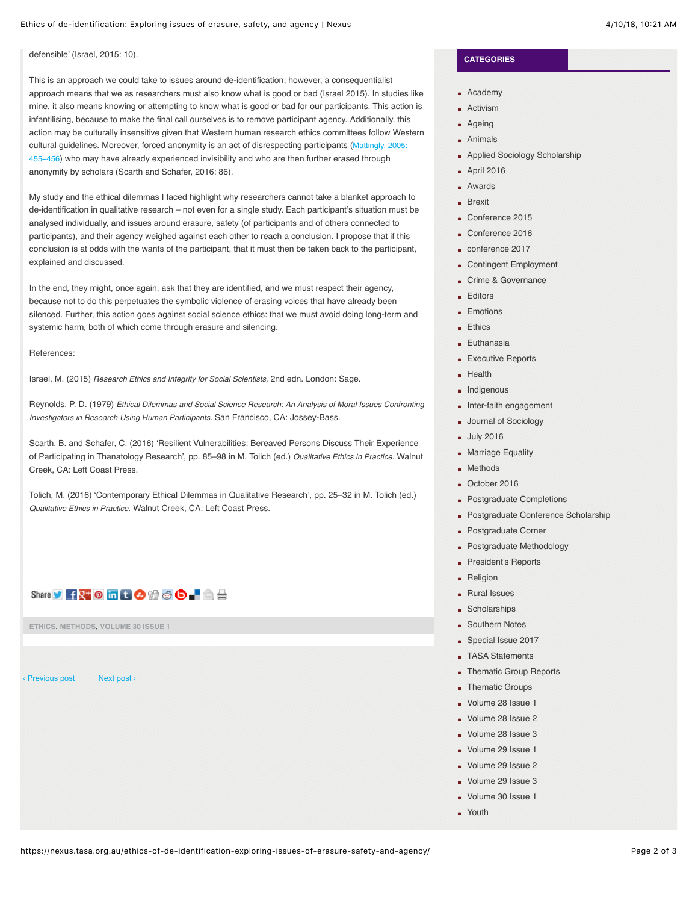defensible' (Israel, 2015: 10).

This is an approach we could take to issues around de-identification; however, a consequentialist approach means that we as researchers must also know what is good or bad (Israel 2015). In studies like mine, it also means knowing or attempting to know what is good or bad for our participants. This action is infantilising, because to make the final call ourselves is to remove participant agency. Additionally, this action may be culturally insensitive given that Western human research ethics committees follow Western cultural guidelines. Moreover, forced anonymity is an act of disrespecting participants (Mattingly, 2005: [455–456\) who may have already experienced invisibility and who are then further erased through](http://journals.sagepub.com/doi/abs/10.1177/1363459305056413) anonymity by scholars (Scarth and Schafer, 2016: 86).

My study and the ethical dilemmas I faced highlight why researchers cannot take a blanket approach to de-identification in qualitative research – not even for a single study. Each participant's situation must be analysed individually, and issues around erasure, safety (of participants and of others connected to participants), and their agency weighed against each other to reach a conclusion. I propose that if this conclusion is at odds with the wants of the participant, that it must then be taken back to the participant, explained and discussed.

In the end, they might, once again, ask that they are identified, and we must respect their agency, because not to do this perpetuates the symbolic violence of erasing voices that have already been silenced. Further, this action goes against social science ethics: that we must avoid doing long-term and systemic harm, both of which come through erasure and silencing.

References:

Israel, M. (2015) *Research Ethics and Integrity for Social Scientists,* 2nd edn. London: Sage.

Reynolds, P. D. (1979) *Ethical Dilemmas and Social Science Research: An Analysis of Moral Issues Confronting Investigators in Research Using Human Participants.* San Francisco, CA: Jossey-Bass.

Scarth, B. and Schafer, C. (2016) 'Resilient Vulnerabilities: Bereaved Persons Discuss Their Experience of Participating in Thanatology Research', pp. 85–98 in M. Tolich (ed.) *Qualitative Ethics in Practice*. Walnut Creek, CA: Left Coast Press.

Tolich, M. (2016) 'Contemporary Ethical Dilemmas in Qualitative Research', pp. 25–32 in M. Tolich (ed.) *Qualitative Ethics in Practice*. Walnut Creek, CA: Left Coast Press.



**[ETHICS](https://nexus.tasa.org.au/category/ethics/)**, **[METHODS](https://nexus.tasa.org.au/category/methods/)**, **[VOLUME 30 ISSUE 1](https://nexus.tasa.org.au/category/volume-30-issue-1/)**

[‹ Previous post](https://nexus.tasa.org.au/tasa-presidents-letter-beyond-the-engagement-and-impact-agenda-social-sciences-week-australia-2018/) [Next post ›](https://nexus.tasa.org.au/editorial-3/)

## **CATEGORIES**

- **[Academy](https://nexus.tasa.org.au/category/academy/)**
- **[Activism](https://nexus.tasa.org.au/category/activism/)**
- **[Ageing](https://nexus.tasa.org.au/category/ageing/)**
- **[Animals](https://nexus.tasa.org.au/category/animals/)**
- **[Applied Sociology Scholarship](https://nexus.tasa.org.au/category/applied-sociology-scholarship/)**
- **[April 2016](https://nexus.tasa.org.au/category/april-2016/)**
- **[Awards](https://nexus.tasa.org.au/category/awards/)**
- **[Brexit](https://nexus.tasa.org.au/category/brexit/)**
- [Conference 2015](https://nexus.tasa.org.au/category/conference-2015/)
- [Conference 2016](https://nexus.tasa.org.au/category/conference-2016/)
- [conference 2017](https://nexus.tasa.org.au/category/conference-2017/)
- **[Contingent Employment](https://nexus.tasa.org.au/category/contingent-employment/)**
- [Crime & Governance](https://nexus.tasa.org.au/category/crime-governance/)
- **[Editors](https://nexus.tasa.org.au/category/editors/)**
- **[Emotions](https://nexus.tasa.org.au/category/emotions/)**
- **[Ethics](https://nexus.tasa.org.au/category/ethics/)**
- **[Euthanasia](https://nexus.tasa.org.au/category/euthanasia/)**
- **[Executive Reports](https://nexus.tasa.org.au/category/executive-reports/)**
- $Health$
- **n** [Indigenous](https://nexus.tasa.org.au/category/indigenous/)
- **[Inter-faith engagement](https://nexus.tasa.org.au/category/inter-faith-engagement/)**
- **[Journal of Sociology](https://nexus.tasa.org.au/category/journal-of-sociology/)**
- **[July 2016](https://nexus.tasa.org.au/category/july-2016/)**
- **[Marriage Equality](https://nexus.tasa.org.au/category/marriage-equality/)**
- **[Methods](https://nexus.tasa.org.au/category/methods/)**
- [October 2016](https://nexus.tasa.org.au/category/october-2016/)
- **[Postgraduate Completions](https://nexus.tasa.org.au/category/postgraduate-completions/)**
- **[Postgraduate Conference Scholarship](https://nexus.tasa.org.au/category/postgraduate-conference-scholarship/)**
- **[Postgraduate Corner](https://nexus.tasa.org.au/category/postgraduate-corner/)**
- **[Postgraduate Methodology](https://nexus.tasa.org.au/category/postgraduate-methodology/)**
- [President's Reports](https://nexus.tasa.org.au/category/presidents-reports/)
- **[Religion](https://nexus.tasa.org.au/category/religion/)**
- **[Rural Issues](https://nexus.tasa.org.au/category/rural-issues/)**
- **B** [Scholarships](https://nexus.tasa.org.au/category/scholarships/)
- **[Southern Notes](https://nexus.tasa.org.au/category/southern-notes/)**
- [Special Issue 2017](https://nexus.tasa.org.au/category/special-issue-2017/)
- **[TASA Statements](https://nexus.tasa.org.au/category/tasa-statements/)**
- **[Thematic Group Reports](https://nexus.tasa.org.au/category/thematic-group-reports/)**
- **[Thematic Groups](https://nexus.tasa.org.au/category/thematic-groups/)**
- [Volume 28 Issue 1](https://nexus.tasa.org.au/category/volume-28-issue-1/)
- [Volume 28 Issue 2](https://nexus.tasa.org.au/category/volume-28-issue-2/)
- [Volume 28 Issue 3](https://nexus.tasa.org.au/category/volume-28-issue-3/)
- [Volume 29 Issue 1](https://nexus.tasa.org.au/category/volume-29-issue-1/)
- [Volume 29 Issue 2](https://nexus.tasa.org.au/category/volume-29-issue-2/)
- [Volume 29 Issue 3](https://nexus.tasa.org.au/category/volume-29-issue-3/)
- [Volume 30 Issue 1](https://nexus.tasa.org.au/category/volume-30-issue-1/)
- **•** [Youth](https://nexus.tasa.org.au/category/youth/)